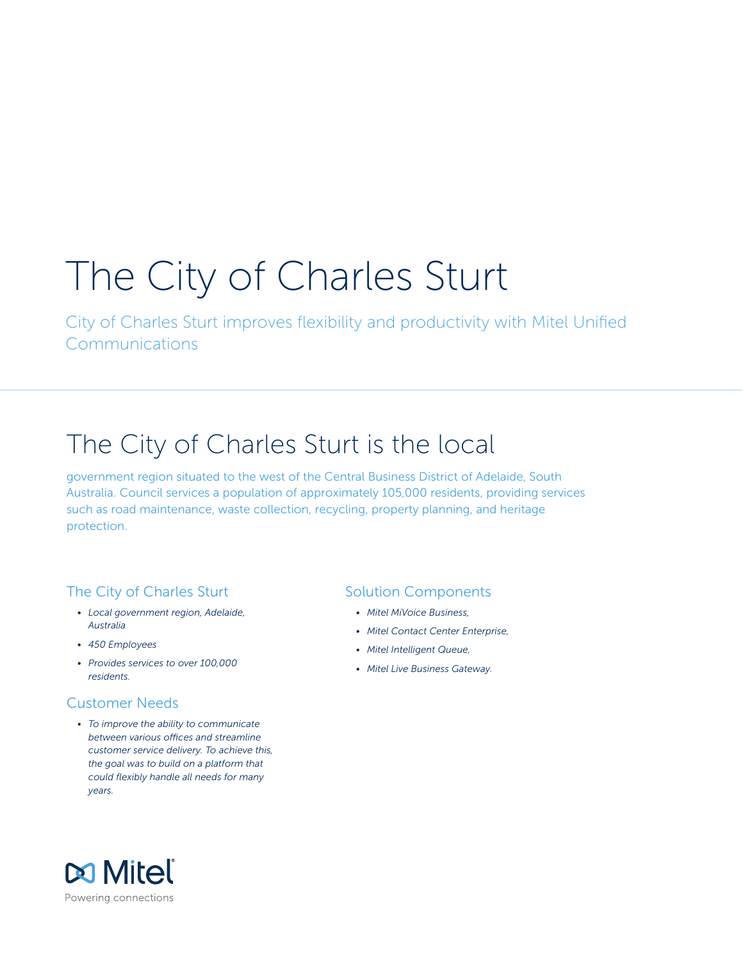# The City of Charles Sturt

City of Charles Sturt improves flexibility and productivity with Mitel Unified Communications

## The City of Charles Sturt is the local

government region situated to the west of the Central Business District of Adelaide, South Australia. Council services a population of approximately 105,000 residents, providing services such as road maintenance, waste collection, recycling, property planning, and heritage protection.

#### The City of Charles Sturt

- *• Local government region, Adelaide, Australia*
- *• 450 Employees*
- *• Provides services to over 100,000 residents.*

#### Customer Needs

*• To improve the ability to communicate between various offices and streamline customer service delivery. To achieve this, the goal was to build on a platform that could flexibly handle all needs for many years.*

#### Solution Components

- *• Mitel MiVoice Business,*
- *• Mitel Contact Center Enterprise,*
- *• Mitel Intelligent Queue,*
- *• Mitel Live Business Gateway.*

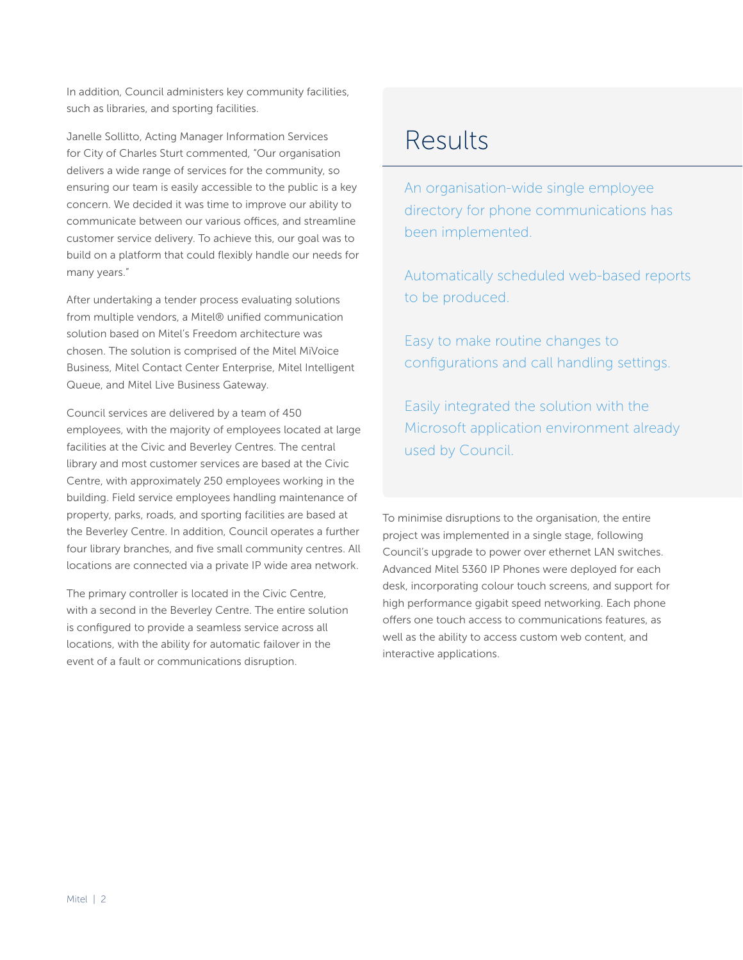In addition, Council administers key community facilities, such as libraries, and sporting facilities.

Janelle Sollitto, Acting Manager Information Services for City of Charles Sturt commented, "Our organisation delivers a wide range of services for the community, so ensuring our team is easily accessible to the public is a key concern. We decided it was time to improve our ability to communicate between our various offices, and streamline customer service delivery. To achieve this, our goal was to build on a platform that could flexibly handle our needs for many years."

After undertaking a tender process evaluating solutions from multiple vendors, a Mitel® unified communication solution based on Mitel's Freedom architecture was chosen. The solution is comprised of the Mitel MiVoice Business, Mitel Contact Center Enterprise, Mitel Intelligent Queue, and Mitel Live Business Gateway.

Council services are delivered by a team of 450 employees, with the majority of employees located at large facilities at the Civic and Beverley Centres. The central library and most customer services are based at the Civic Centre, with approximately 250 employees working in the building. Field service employees handling maintenance of property, parks, roads, and sporting facilities are based at the Beverley Centre. In addition, Council operates a further four library branches, and five small community centres. All locations are connected via a private IP wide area network.

The primary controller is located in the Civic Centre, with a second in the Beverley Centre. The entire solution is configured to provide a seamless service across all locations, with the ability for automatic failover in the event of a fault or communications disruption.

### Results

An organisation-wide single employee directory for phone communications has been implemented.

Automatically scheduled web-based reports to be produced.

Easy to make routine changes to configurations and call handling settings.

Easily integrated the solution with the Microsoft application environment already used by Council.

To minimise disruptions to the organisation, the entire project was implemented in a single stage, following Council's upgrade to power over ethernet LAN switches. Advanced Mitel 5360 IP Phones were deployed for each desk, incorporating colour touch screens, and support for high performance gigabit speed networking. Each phone offers one touch access to communications features, as well as the ability to access custom web content, and interactive applications.